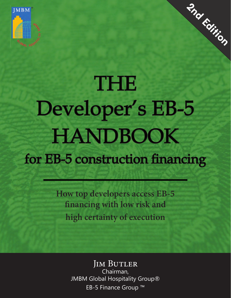

# THE Developer's EB-5 HANDBOOK for EB-5 construction financing

**2nd Edition** 

**How top developers access EB-5 financing with low risk and high certainty of execution**

> **JIM BUTLER** Chairman, JMBM Global Hospitality Group® EB-5 Finance Group ™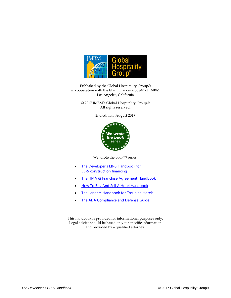

Published by the Global Hospitality Group® in cooperation with the EB-5 Finance Group™ of JMBM Los Angeles, California

> © 2017 JMBM's Global Hospitality Group®. All rights reserved.

> > 2nd edition, August 2017



We wrote the book™ series:

- [The Developer's EB-5 Handbook for](http://www.hotellawyer.com/files/books/pdf/developers-eb-5-hanbook.pdf) [EB-5 construction financing](http://www.hotellawyer.com/files/books/pdf/developers-eb-5-hanbook.pdf)
- The HMA [& Franchise Agreement Handbook](http://hotel.law/HMA-Handbook)
- [How To Buy And Sell A Hotel Handbook](http://hotel.law/How-to-Buy-a-Hotel-Handbook)
- **[The Lenders Handbook for Troubled Hotels](http://hotel.law/Lenders-Handbook-for-Troubled-Hotels)**
- **[The ADA Compliance and Defense Guide](http://hotel.law/ADA-Compliance-and-Defense-Guide)**

This handbook is provided for informational purposes only. Legal advice should be based on your specific information and provided by a qualified attorney.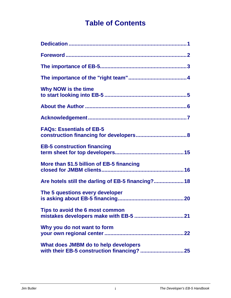### **Table of Contents**

<span id="page-2-13"></span><span id="page-2-12"></span><span id="page-2-11"></span><span id="page-2-10"></span><span id="page-2-9"></span><span id="page-2-8"></span><span id="page-2-7"></span><span id="page-2-6"></span><span id="page-2-5"></span><span id="page-2-4"></span><span id="page-2-3"></span><span id="page-2-2"></span><span id="page-2-1"></span><span id="page-2-0"></span>

| Why NOW is the time                                |
|----------------------------------------------------|
|                                                    |
|                                                    |
| <b>FAQs: Essentials of EB-5</b>                    |
| <b>EB-5 construction financing</b>                 |
| More than \$1.5 billion of EB-5 financing          |
| Are hotels still the darling of EB-5 financing? 18 |
| The 5 questions every developer                    |
| Tips to avoid the 6 most common                    |
| Why you do not want to form                        |
| What does JMBM do to help developers               |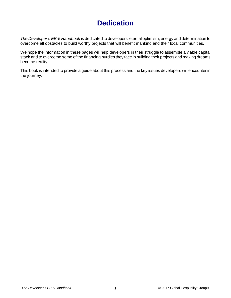### **Dedication**

<span id="page-3-0"></span>*The Developer's EB-5 Handbook* is dedicated to developers' eternal optimism, energy and determination to overcome all obstacles to build worthy projects that will benefit mankind and their local communities.

We hope the information in these pages will help developers in their struggle to assemble a viable capital stack and to overcome some of the financing hurdles they face in building their projects and making dreams become reality.

This book is intended to provide a guide about this process and the key issues developers will encounter in the journey.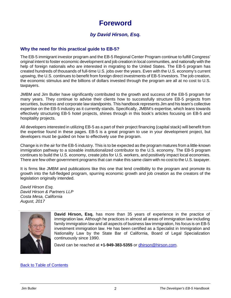### **Foreword**

#### *by David Hirson, Esq.*

#### <span id="page-4-0"></span>**Why the need for this practical guide to EB-5?**

The EB-5 immigrant investor program and the EB-5 Regional Center Program continue to fulfill Congress' original intent to foster economic development and job creation in local communities, and nationally with the help of foreign nationals who are interested in migrating to the United States. The EB-5 program has created hundreds of thousands of full-time U.S. jobs over the years. Even with the U.S. economy's current upswing, the U.S. continues to benefit from foreign direct investments of EB-5 investors. The job creation, the economic stimulus and the billions of dollars invested through the program are all at no cost to U.S. taxpayers.

JMBM and Jim Butler have significantly contributed to the growth and success of the EB-5 program for many years. They continue to advise their clients how to successfully structure EB-5 projects from securities, business and corporate law standpoints. This handbook represents Jim and his team's collective expertise on the EB-5 industry as it currently stands. Specifically, JMBM's expertise, which leans towards effectively structuring EB-5 hotel projects, shines through in this book's articles focusing on EB-5 and hospitality projects.

All developers interested in utilizing EB-5 as a part of their project financing (capital stack) will benefit from the expertise found in these pages. EB-5 is a great program to use in your development project, but developers must be guided on how to effectively use the program.

Change is in the air for the EB-5 industry. This is to be expected as the program matures from a little-known immigration pathway to a sizeable institutionalized contributor to the U.S. economy. The EB-5 program continues to build the U.S. economy, create jobs for U.S. workers, and positively impact local economies. There are few other government programs that can make this same claim with no cost to the U.S. taxpayer.

It is firms like JMBM and publications like this one that lend credibility to the program and promote its growth into the full-fledged program, spurring economic growth and job creation as the creators of the legislation originally intended.

*David Hirson Esq. David Hirson & Partners LLP Costa Mesa, California August, 2017*



**David Hirson, Esq.** has more than 35 years of experience in the practice of immigration law. Although he practices in almost all areas of immigration law including family immigration law and all aspects of business law immigration, his focus is on EB-5 investment immigration law. He has been certified as a Specialist in Immigration and Nationality Law by the State Bar of California, Board of Legal Specialization continuously since 1990.

David can be reached at **+1-949-383-5355** or [dhirson@hirson.com.](mailto:dhirson@hirson.com)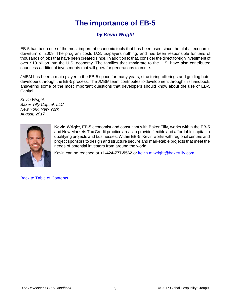### **The importance of EB-5**

#### *by Kevin Wright*

<span id="page-5-0"></span>EB-5 has been one of the most important economic tools that has been used since the global economic downturn of 2009. The program costs U.S. taxpayers nothing, and has been responsible for tens of thousands of jobs that have been created since. In addition to that, consider the direct foreign investment of over \$19 billion into the U.S. economy. The families that immigrate to the U.S. have also contributed countless additional investments that will grow for generations to come.

JMBM has been a main player in the EB-5 space for many years, structuring offerings and guiding hotel developers through the EB-5 process. The JMBM team contributes to development through this handbook, answering some of the most important questions that developers should know about the use of EB-5 Capital.

*Kevin Wright, Baker Tilly Capital, LLC New York, New York August, 2017*



**Kevin Wright**, EB-5 economist and consultant with Baker Tilly, works within the EB-5 and New Markets Tax Credit practice areas to provide flexible and affordable capital to qualifying projects and businesses. Within EB-5, Kevin works with regional centers and project sponsors to design and structure secure and marketable projects that meet the needs of potential investors from around the world.

Kevin can be reached at **+1-424-777-5562** or [kevin.m.wright@bakertilly.com.](mailto:kevin.m.wright@bakertilly.com)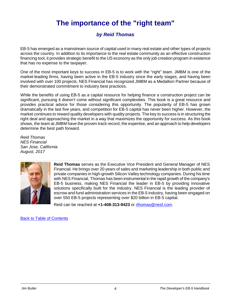### **The importance of the "right team"**

#### *by Reid Thomas*

<span id="page-6-0"></span>EB-5 has emerged as a mainstream source of capital used in many real estate and other types of projects across the country. In addition to its importance to the real estate community as an effective construction financing tool, it provides strategic benefit to the US economy as the only job creation program in existence that has no expense to the taxpayer.

One of the most important keys to success in EB-5 is to work with the "right" team. JMBM is one of the market-leading firms, having been active in the EB-5 industry since the early stages, and having been involved with over 100 projects. NES Financial has recognized JMBM as a Medallion Partner because of their demonstrated commitment to industry best practices.

While the benefits of using EB-5 as a capital resource for helping finance a construction project can be significant, pursuing it doesn't come without significant complexities. This book is a great resource and provides practical advice for those considering this opportunity. The popularity of EB-5 has grown dramatically in the last five years, and competition for EB-5 capital has never been higher. However, the market continues to reward quality developers with quality projects. The key to success is in structuring the right deal and approaching the market in a way that maximizes the opportunity for success. As this book shows, the team at JMBM have the proven track record, the expertise, and an approach to help developers determine the best path forward.

*Reid Thomas NES Financial San Jose, California August, 2017* 



**Reid Thomas** serves as the Executive Vice President and General Manager of NES Financial. He brings over 20 years of sales and marketing leadership in both public and private companies in high-growth Silicon Valley technology companies. During his time with NES Financial, Thomas has been instrumental in the rapid growth of the company's EB-5 business, making NES Financial the leader in EB-5 by providing innovative solutions specifically built for the industry. NES Financial is the leading provider of escrow and fund administration services in the EB-5 industry, having been engaged on over 550 EB-5 projects representing over \$20 billion in EB-5 capital.

Reid can be reached at **+1-408-313-9423** or [rthomas@nesf.com.](mailto:rthomas@nesf.com)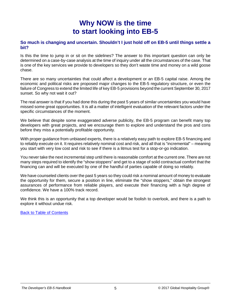### **Why NOW is the time to start looking into EB-5**

#### <span id="page-7-0"></span>**So much is changing and uncertain. Shouldn't I just hold off on EB-5 until things settle a bit?**

Is this the time to jump in or sit on the sidelines? The answer to this important question can only be determined on a case-by-case analysis at the time of inquiry under all the circumstances of the case. That is one of the key services we provide to developers so they don't waste time and money on a wild goose chase.

There are so many uncertainties that could affect a development or an EB-5 capital raise. Among the economic and political risks are proposed major changes to the EB-5 regulatory structure, or even the failure of Congress to extend the limited life of key EB-5 provisions beyond the current September 30, 2017 sunset. So why not wait it out?

The real answer is that if you had done this during the past 5 years of similar uncertainties you would have missed some great opportunities. It is all a matter of intelligent evaluation of the relevant factors under the specific circumstances of the moment.

We believe that despite some exaggerated adverse publicity, the EB-5 program can benefit many top developers with great projects, and we encourage them to explore and understand the pros and cons before they miss a potentially profitable opportunity.

With proper guidance from unbiased experts, there is a relatively easy path to explore EB-5 financing and to reliably execute on it. It requires relatively nominal cost and risk, and all that is "incremental" – meaning you start with very low cost and risk to see if there is a litmus test for a stop-or-go indication.

You never take the next incremental step until there is reasonable comfort at the current one. There are not many steps required to identify the "show stoppers" and get to a stage of solid contractual comfort that the financing can and will be executed by one of the handful of parties capable of doing so reliably.

We have counseled clients over the past 5 years so they could risk a nominal amount of money to evaluate the opportunity for them, secure a position in line, eliminate the "show stoppers," obtain the strongest assurances of performance from reliable players, and execute their financing with a high degree of confidence. We have a 100% track record.

We think this is an opportunity that a top developer would be foolish to overlook, and there is a path to explore it without undue risk.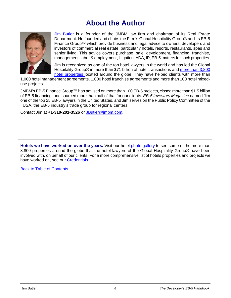### **About the Author**

<span id="page-8-0"></span>

[Jim Butler](http://www.hotellawyer.com/jim-butler.html) is a founder of the JMBM law firm and chairman of its Real Estate Department. He founded and chairs the Firm's Global Hospitality Group® and its EB-5 Finance Group™ which provide business and legal advice to owners, developers and investors of commercial real estate, particularly hotels, resorts, restaurants, spas and senior living. This advice covers purchase, sale, development, financing, franchise, management, labor & employment, litigation, ADA, IP, EB-5 matters for such properties.

Jim is recognized as one of the top hotel lawyers in the world and has led the Global Hospitality Group® in more than \$71 billion of hotel transactions and [more than 3,800](http://www.hotellawyer.com/gallery.html)  [hotel properties](http://www.hotellawyer.com/gallery.html) located around the globe. They have helped clients with more than

1,000 hotel management agreements, 1,000 hotel franchise agreements and more than 100 hotel mixeduse projects.

JMBM's EB-5 Finance Group™ has advised on more than 100 EB-5 projects, closed more than \$1.5 billion of EB-5 financing, and sourced more than half of that for our clients. *EB-5 Investors Magazine* named Jim one of the top 25 EB-5 lawyers in the United States, and Jim serves on the Public Policy Committee of the IIUSA, the EB-5 industry's trade group for regional centers.

Contact Jim at **+1-310-201-3526** or [JButler@jmbm.com.](mailto:JButler@jmbm.com)

**Hotels we have worked on over the years.** Visit our hotel [photo gallery](http://www.hotellawyer.com/gallery.html) to see some of the more than 3,800 properties around the globe that the hotel lawyers of the Global Hospitality Group® have been involved with, on behalf of our clients. For a more comprehensive list of hotels properties and projects we have worked on, see our [Credentials.](http://www.hotellawyer.com/files/books/ghg-credentials/#/Cover/)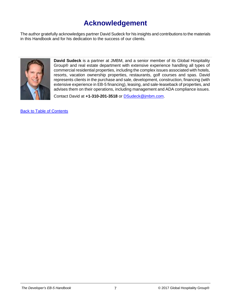### **Acknowledgement**

<span id="page-9-0"></span>The author gratefully acknowledges partner David Sudeck for his insights and contributions to the materials in this Handbook and for his dedication to the success of our clients.



**David Sudeck** is a partner at JMBM, and a senior member of its Global Hospitality Group® and real estate department with extensive experience handling all types of commercial residential properties, including the complex issues associated with hotels, resorts, vacation ownership properties, restaurants, golf courses and spas. David represents clients in the purchase and sale, development, construction, financing (with extensive experience in EB-5 financing), leasing, and sale-leaseback of properties, and advises them on their operations, including management and ADA compliance issues.

Contact David at **+1-310-201-3518** or [DSudeck@jmbm.com.](mailto:DSudeck@jmbm.com)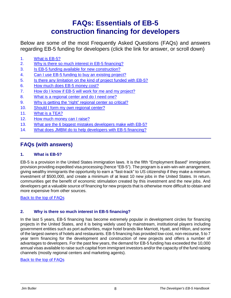### **FAQs: Essentials of EB-5 construction financing for developers**

<span id="page-10-0"></span>Below are some of the most Frequently Asked Questions (FAQs) and answers regarding EB-5 funding for developers (click the link for answer, or scroll down)

- <span id="page-10-3"></span>[1.](#page-10-1) [What is EB-5?](#page-10-1)
- <span id="page-10-4"></span>[2.](#page-10-2) [Why is there so much interest in EB-5 financing?](#page-10-2)
- <span id="page-10-5"></span>[3.](#page-11-0) [Is EB-5 funding available for new construction?](#page-11-0)
- <span id="page-10-6"></span>[4.](#page-11-1) [Can I use EB-5 funding to buy an existing project?](#page-11-1)
- <span id="page-10-7"></span>[5.](#page-11-2) [Is there any limitation on the kind of project funded with EB-5?](#page-11-2)
- <span id="page-10-8"></span>[6.](#page-11-3) [How much does EB-5 money cost?](#page-11-3)
- <span id="page-10-9"></span>[7.](#page-12-0) [How do I know if EB-5 will work for me and my project?](#page-12-0)
- <span id="page-10-10"></span>[8.](#page-12-1) [What is a regional center and do I need one?](#page-12-1)
- <span id="page-10-11"></span>[9.](#page-12-2) [Why is getting the "right" regional center so critical?](#page-12-2)
- <span id="page-10-12"></span>[10.](#page-13-0) [Should I form my own regional center?](#page-13-0)
- <span id="page-10-13"></span>[11.](#page-14-0) [What is a TEA?](#page-14-0)
- <span id="page-10-14"></span>[12.](#page-14-1) [How much money can I raise?](#page-14-1)
- <span id="page-10-15"></span>[13.](#page-15-0) [What are the 6 biggest mistakes developers make with EB-5?](#page-15-0)
- <span id="page-10-16"></span>[14.](#page-15-1) [What does JMBM do to help developers with EB-5 financing?](#page-15-1)

#### **FAQs (with answers)**

#### <span id="page-10-1"></span>**1. What is EB-5?**

EB-5 is a provision in the United States immigration laws. It is the fifth "Employment Based" immigration provision providing expedited visa processing (hence "EB-5"). The program is a win-win-win arrangement, giving wealthy immigrants the opportunity to earn a "fast-track" to US citizenship if they make a minimum investment of \$500,000, and create a minimum of at least 10 new jobs in the United States. In return, communities get the benefit of economic stimulation created by this investment and the new jobs. And developers get a valuable source of financing for new projects that is otherwise more difficult to obtain and more expensive from other sources.

[Back to the top of FAQs](#page-10-3)

#### <span id="page-10-2"></span>**2. Why is there so much interest in EB-5 financing?**

In the last 5 years, EB-5 financing has become extremely popular in development circles for financing projects in the United States, and it is being widely used by mainstream, institutional players including government entities such as port authorities, major hotel brands like Marriott, Hyatt, and Hilton, and some of the largest owners of hotels and restaurants. EB-5 financing has provided low-cost, non-recourse, 5 to 7 year term financing for the development and construction of new projects and offers a number of advantages to developers. For the past few years, the demand for EB-5 funding has exceeded the 10,000 annual visas available to raise such capital from immigrant investors and/or the capacity of the fund raising channels (mostly regional centers and marketing agents).

#### [Back to the top of FAQs](#page-10-4)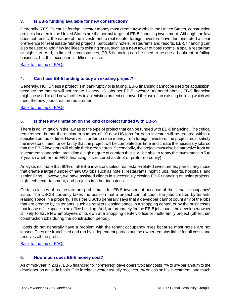#### <span id="page-11-0"></span>**3. Is EB-5 funding available for new construction?**

Generally, YES. Because foreign investor money must create **new** jobs in the United States, construction projects located in the United States are the normal target of EB-5 financing investment. Although the law does not restrict the nature of the investment to real estate, foreign investors have demonstrated a clear preference for real estate-related projects, particularly hotels, restaurants and resorts. EB-5 financing can also be used to add new facilities to existing ones, such as a **new** tower of hotel rooms, a spa, a restaurant or nightclub. And, in limited circumstances, EB-5 financing can be used to rescue a bankrupt or failing business, but this exception is difficult to use.

[Back to the top of FAQs](#page-10-5)

#### <span id="page-11-1"></span>**4. Can I use EB-5 funding to buy an existing project?**

Generally, NO. Unless a project is in bankruptcy or is failing, EB-5 financing cannot be used for acquisition, because the money will not create 10 new US jobs per EB-5 investor. As noted above, EB-5 financing might be used to add new facilities to an existing project or convert the use of an existing building which will meet the new jobs-creation requirement.

[Back to the top of FAQs](#page-10-6)

#### <span id="page-11-2"></span>**5. Is there any limitation on the kind of project funded with EB-5?**

There is no limitation in the law as to the type of project that can be funded with EB-5 financing. The critical requirement is that the minimum number of 10 new US jobs for each investor will be created within a specified period of time. However, in order to raise money from foreign investors, the project must satisfy the investors' need for certainty that the project will be completed on time and create the necessary jobs so that the EB-5 investors will obtain their green cards. Secondarily, the project must also be attractive from an investment standpoint, providing a high degree of comfort that it will be able to repay the investment in 5 to 7 years (whether the EB-5 financing is structured as debt or preferred equity).

Analysts estimate that 80% of all EB-5 investors select real estate-related investments, particularly those that create a large number of new US jobs such as hotels, restaurants, night clubs, resorts, hospitals, and senior living. However, we have assisted clients in successfully closing EB-5 financing on solar projects, high tech, entertainment, and projects in other industries.

Certain classes of real estate are problematic for EB-5 investment because of the "tenant occupancy" issue. The USCIS currently takes the position that a project cannot count the jobs created by tenants leasing space in a property. Thus the USCIS generally says that a developer cannot count any of the jobs that are created by its tenants, such as retailers leasing space in a shopping center, or by the businesses that lease office space in an office building. And, unfortunately for the EB-5 job count, the developer/owner is likely to have few employees of its own at a shopping center, office or multi-family project (other than construction jobs during the construction period).

Hotels do not generally have a problem with the tenant occupancy rules because most hotels are not leased. They are franchised and run by independent parties but the owner remains liable for all costs and receives all the profits.

[Back to the top of FAQs](#page-10-7)

#### <span id="page-11-3"></span>**6. How much does EB-5 money cost?**

As of mid-year in 2017, EB-5 financing for "preferred" developers typically costs 7% to 8% per annum to the developer on an all-in basis. The foreign investor usually receives 1% or less on his investment, and much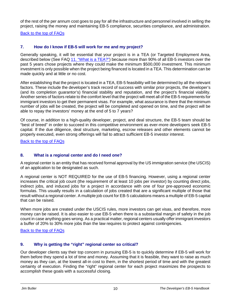of the rest of the per annum cost goes to pay for all the infrastructure and personnel involved in selling the project, raising the money and maintaining EB-5 compliance, securities compliance, and administration.

[Back to the top of FAQs](#page-10-8)

#### <span id="page-12-0"></span>**7. How do I know if EB-5 will work for me and my project?**

Generally speaking, it will be essential that your project is in a TEA (or Targeted Employment Area, described below (See FAQ [11. "What is a TEA?"\)](#page-14-0) because more than 90% of all EB-5 investors over the past 5 years chose projects where they could make the minimum \$500,000 investment. This minimum investment is only possible when the project being financed is located in a TEA. This determination can be made quickly and at little or no cost.

After establishing that the project is located in a TEA, EB-5 feasibility will be determined by all the relevant factors. These include the developer's track record of success with similar prior projects, the developer's (and its completion guarantor's) financial stability and reputation, and the project's financial viability. Another series of factors relate to the comfort level that the project will meet all of the EB-5 requirements for immigrant investors to get their permanent visas. For example, what assurance is there that the minimum number of jobs will be created, the project will be completed and opened on time, and the project will be able to repay the investors' money at the end of 5 to 7 years?

Of course, in addition to a high-quality developer, project, and deal structure, the EB-5 team should be "best of breed" in order to succeed in this competitive environment as ever-more developers seek EB-5 capital. If the due diligence, deal structure, marketing, escrow releases and other elements cannot be properly executed, even strong offerings will fail to attract sufficient EB-5 investor interest.

[Back to the top of FAQs](#page-10-9)

#### <span id="page-12-1"></span>**8. What is a regional center and do I need one?**

A regional center is an entity that has received formal approval by the US immigration service (the USCIS) of an application to be designated as such.

A regional center is NOT REQUIRED for the use of EB-5 financing. However, using a regional center increases the critical job count (the requirement of at least 10 jobs per investor) by counting direct jobs, indirect jobs, and induced jobs for a project in accordance with one of four pre-approved economic formulas. This usually results in a calculation of jobs created that are a significant multiple of those that result without a regional center. A multiple job count for EB-5 calculations means a multiple of EB-5 capital that can be raised.

When more jobs are created under the USCIS rules, more investors can get visas, and therefore, more money can be raised. It is also easier to use EB-5 when there is a substantial margin of safety in the job count in case anything goes wrong. As a practical matter, regional centers usually offer immigrant investors a buffer of 20% to 30% more jobs than the law requires to protect against contingencies.

[Back to the top of FAQs](#page-10-10)

#### <span id="page-12-2"></span>**9. Why is getting the "right" regional center so critical?**

Our developer clients say their top concern in pursuing EB-5 is to quickly determine if EB-5 will work for them before they spend a lot of time and money. Assuming that it is feasible, they want to raise as much money as they can, at the lowest all-in cost to them, in the shortest period of time and with the greatest certainty of execution. Finding the "right" regional center for each project maximizes the prospects to accomplish these goals with a successful closing.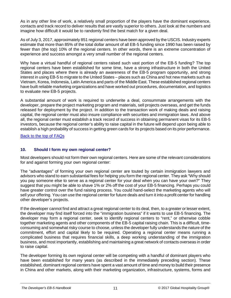As in any other line of work, a relatively small proportion of the players have the dominant experience, contacts and track record to deliver results that are vastly superior to others. Just look at the numbers and imagine how difficult it would be to randomly find the best match for a given deal.

As of July 3, 2017, approximately 851 regional centers have been approved by the USCIS. Industry experts estimate that more than 85% of the total dollar amount of all EB-5 funding since 1990 has been raised by fewer than (the top) 10% of the regional centers. In other words, there is an extreme concentration of experience and success amongst a very small number of the regional centers.

Why have a virtual handful of regional centers raised such vast portion of the EB-5 funding? The top regional centers have been established for some time, have a strong infrastructure in both the United States and places where there is already an awareness of the EB-5 program opportunity, and strong interest in using EB-5 to migrate to the United States – places such as China and hot new markets such as Vietnam, Korea, Indonesia, Latin America and parts of the Middle East. These established regional centers have built reliable marketing organizations and have worked out procedures, documentation, and logistics to evaluate new EB-5 projects.

A substantial amount of work is required to underwrite a deal, consummate arrangements with the developer, prepare the project marketing program and materials, sell projects overseas, and get the funds released for deployment by the project. In addition to the transaction work of making deals and raising capital, the regional center must also insure compliance with securities and immigration laws. And above all, the regional center must establish a track record of success in obtaining permanent visas for its EB-5 investors, because the regional center's ability to raise capital in the future will depend upon being able to establish a high probability of success in getting green cards for its projects based on its prior performance.

[Back to the top of FAQs](#page-10-11)

#### <span id="page-13-0"></span>**10. Should I form my own regional center?**

Most developers should not form their own regional centers. Here are some of the relevant considerations for and against forming your own regional center:

The "advantages" of forming your own regional center are touted by certain immigration lawyers and advisors who stand to earn substantial fees for helping you form the regional center. They ask "Why should you pay someone else to serve as a regional center for your deal when you can have your own?" They suggest that you might be able to shave 1% or 2% off the cost of your EB-5 financing. Perhaps you could have greater control over the fund raising process. You could hand-select the marketing agents who will sell your offering. You can use the regional center for future deals and turn it into a profit center for handling other developer's projects.

If the developer cannot find and attract a great regional center to its deal, then, to a greater or lesser extent, the developer may find itself forced into the "immigration business" if it wants to use EB-5 financing. The developer may form a regional center, seek to identify regional centers to "rent," or otherwise cobble together marketing agents and other components of the EB-5 capital raising chain. This is a difficult, timeconsuming and somewhat risky course to choose, unless the developer fully understands the nature of the commitment, effort and capital likely to be required. Operating a regional center means running a complicated business that requires financial skills, a deep working understanding of the immigration business, and most importantly, establishing and maintaining a great network of contacts overseas in order to raise capital.

The developer forming its own regional center will be competing with a handful of dominant players who have been established for many years (as described in the immediately preceding section). These established, dominant regional centers have spent a vast amount of time and money to build their presence in China and other markets, along with their marketing organization, infrastructure, systems, forms and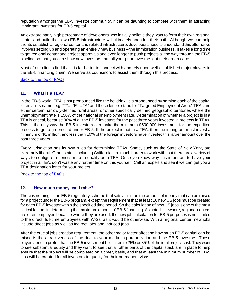reputation amongst the EB-5 investor community. It can be daunting to compete with them in attracting immigrant investors for EB-5 capital.

An extraordinarily high percentage of developers who initially believe they want to form their own regional center and build their own EB-5 infrastructure will ultimately abandon their path. Although we can help clients establish a regional center and related infrastructure, developers need to understand this alternative involves setting up and operating an entirely new business – the immigration business. It takes a long time to get regional center and project approvals and even longer to push projects all the way through the EB-5 pipeline so that you can show new investors that all your prior investors got their green cards.

Most of our clients find that it is far better to connect with and rely upon well-established major players in the EB-5 financing chain. We serve as counselors to assist them through this process.

[Back to the top of FAQs](#page-10-12)

#### <span id="page-14-0"></span>**11. What is a TEA?**

In the EB-5 world, TEA is not pronounced like the hot drink. It is pronounced by naming each of the capital letters in its name, e.g. "T"… "E"… "A" and those letters stand for "Targeted Employment Area." TEAs are either certain narrowly-defined rural areas, or other specifically defined geographic territories where the unemployment rate is 150% of the national unemployment rate. Determination of whether a project is in a TEA is critical, because 90% of all the EB-5 investors for the past three years invested in projects in TEAs. This is the only way the EB-5 investors can make the minimum \$500,000 investment for the expedited process to get a green card under EB-5. If the project is not in a TEA, then the immigrant must invest a minimum of \$1 million, and less than 10% of the foreign investors have invested this larger amount over the past three years.

Every jurisdiction has its own rules for determining TEAs. Some, such as the State of New York, are extremely liberal. Other states, including California, are much harder to work with, but there are a variety of ways to configure a census map to qualify as a TEA. Once you know why it is important to have your project in a TEA, don't waste any further time on this yourself. Call an expert and see if we can get you a TEA designation letter for your project.

[Back to the top of FAQs](#page-10-13)

#### <span id="page-14-1"></span>**12. How much money can I raise?**

There is nothing in the EB-5 regulatory scheme that sets a limit on the amount of money that can be raised for a project under the EB-5 program, except the requirement that at least 10 new US jobs must be created for each EB-5 investor within the specified time period. So the calculation of new US jobs is one of the most critical factors in determining the maximum amount of EB-5 financing. As noted elsewhere, regional centers are often employed because where they are used, the new job calculation for EB-5 purposes is not limited to the direct, full-time employees with W-2s, as it would be otherwise. With a regional center, new jobs include direct jobs as well as indirect jobs and induced jobs.

After the crucial jobs creation requirement, the other major factor affecting how much EB-5 capital can be raised is the attractiveness of the deal to your marketing organization and the EB-5 investors. These players tend to prefer that the EB-5 investment be limited to 25% or 35% of the total project cost. They want to see substantial equity and they want to see that all other parts of the capital stack are in place to help ensure that the project will be completed on a timely basis, and that at least the minimum number of EB-5 jobs will be created for all investors to qualify for their permanent visas.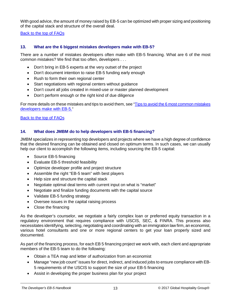With good advice, the amount of money raised by EB-5 can be optimized with proper sizing and positioning of the capital stack and structure of the overall deal.

[Back to the top of FAQs](#page-10-14)

#### <span id="page-15-0"></span>**13. What are the 6 biggest mistakes developers make with EB-5?**

There are a number of mistakes developers often make with EB-5 financing. What are 6 of the most common mistakes? We find that too often, developers . . .

- Don't bring in EB-5 experts at the very outset of the project
- Don't document intention to raise EB-5 funding early enough
- Rush to form their own regional center
- Start negotiations with regional centers without guidance
- Don't count all jobs created in mixed-use or master planned development
- Don't perform enough or the right kind of due diligence

For more details on these mistakes and tips to avoid them, see ["Tips to avoid the 6 most common mistakes](https://hotellaw.jmbm.com/tips-avoid-6-common-mistakes-developers-make-eb-5.html)  [developers make with EB-5."](https://hotellaw.jmbm.com/tips-avoid-6-common-mistakes-developers-make-eb-5.html)

[Back to the top of FAQs](#page-10-15)

#### <span id="page-15-1"></span>**14. What does JMBM do to help developers with EB-5 financing?**

JMBM specializes in representing top developers and projects where we have a high degree of confidence that the desired financing can be obtained and closed on optimum terms. In such cases, we can usually help our client to accomplish the following items, including sourcing the EB-5 capital:

- Source EB-5 financing
- Evaluate EB-5 threshold feasibility
- Optimize developer profile and project structure
- Assemble the right "EB-5 team" with best players
- Help size and structure the capital stack
- Negotiate optimal deal terms with current input on what is "market"
- Negotiate and finalize funding documents with the capital source
- Validate EB-5 funding strategy
- Oversee issues in the capital raising process
- Close the financing

As the developer's counselor, we negotiate a fairly complex loan or preferred equity transaction in a regulatory environment that requires compliance with USCIS, SEC, & FINRA. This process also necessitates identifying, selecting, negotiating and coordinating with an immigration law firm, an economist, various hotel consultants and one or more regional centers to get your loan properly sized and documented.

As part of the financing process, for each EB 5 financing project we work with, each client and appropriate members of the EB-5 team to do the following:

- Obtain a TEA map and letter of authorization from an economist
- Manage "new job count" issues for direct, indirect, and induced jobs to ensure compliance with EB-5 requirements of the USCIS to support the size of your EB-5 financing
- Assist in developing the proper business plan for your project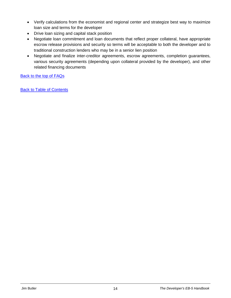- Verify calculations from the economist and regional center and strategize best way to maximize loan size and terms for the developer
- Drive loan sizing and capital stack position
- Negotiate loan commitment and loan documents that reflect proper collateral, have appropriate escrow release provisions and security so terms will be acceptable to both the developer and to traditional construction lenders who may be in a senior lien position
- Negotiate and finalize inter-creditor agreements, escrow agreements, completion guarantees, various security agreements (depending upon collateral provided by the developer), and other related financing documents

[Back to the top of FAQs](#page-10-16)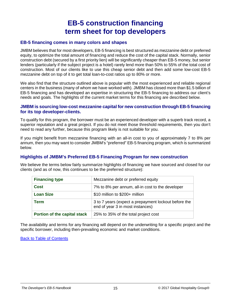### **EB-5 construction financing term sheet for top developers**

#### <span id="page-17-0"></span>**EB-5 financing comes in many colors and shapes**

JMBM believes that for most developers, EB-5 financing is best structured as mezzanine debt or preferred equity, to optimize the total amount of financing and reduce the cost of the capital stack. Normally, senior construction debt (secured by a first priority lien) will be significantly cheaper than EB-5 money, but senior lenders (particularly if the subject project is a hotel) rarely lend more than 50% to 55% of the total cost of construction. Most of our clients like to use this cheap senior debt and then add some low-cost EB-5 mezzanine debt on top of it to get total loan-to-cost ratios up to 80% or more.

We also find that the structure outlined above is popular with the most experienced and reliable regional centers in the business (many of whom we have worked with). JMBM has closed more than \$1.5 billion of EB-5 financing and has developed an expertise in structuring the EB-5 financing to address our client's needs and goals. The highlights of the current market terms for this financing are described below.

#### **JMBM is sourcing low-cost mezzanine capital for new construction through EB-5 financing for its top developer-clients.**

To qualify for this program, the borrower must be an experienced developer with a superb track record, a superior reputation and a great project. If you do not meet those threshold requirements, then you don't need to read any further, because this program likely is not suitable for you.

If you might benefit from mezzanine financing with an all-in cost to you of approximately 7 to 8% per annum, then you may want to consider JMBM's "preferred" EB-5 financing program, which is summarized below.

#### **Highlights of JMBM's Preferred EB-5 Financing Program for new construction**

We believe the terms below fairly summarize highlights of financing we have sourced and closed for our clients (and as of now, this continues to be the preferred structure):

| <b>Financing type</b>        | Mezzanine debt or preferred equity                                                       |
|------------------------------|------------------------------------------------------------------------------------------|
| <b>Cost</b>                  | 7% to 8% per annum, all-in cost to the developer                                         |
| <b>Loan Size</b>             | \$10 million to \$200+ million                                                           |
| <b>Term</b>                  | 3 to 7 years (expect a prepayment lockout before the<br>end of year 3 in most instances) |
| Portion of the capital stack | 25% to 35% of the total project cost                                                     |

The availability and terms for any financing will depend on the underwriting for a specific project and the specific borrower, including then-prevailing economic and market conditions.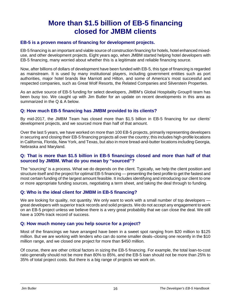### **More than \$1.5 billion of EB-5 financing closed for JMBM clients**

#### <span id="page-18-0"></span>**EB-5 is a proven means of financing for development projects.**

EB-5 financing is an important and viable source of construction financing for hotels, hotel enhanced mixeduse, and other development projects. Eight years ago, when JMBM started helping hotel developers with EB-5 financing, many worried about whether this is a legitimate and reliable financing source.

Now, after billions of dollars of development have been funded with EB-5, this type of financing is regarded as mainstream. It is used by many institutional players, including government entities such as port authorities, major hotel brands like Marriott and Hilton, and some of America's most successful and respected companies, such as Great Wolf Resorts, the Related Companies and Silverstein Properties.

As an active source of EB-5 funding for select developers, JMBM's Global Hospitality Group® team has been busy too. We caught up with Jim Butler for an update on recent developments in this area as summarized in the Q & A below.

#### **Q: How much EB-5 financing has JMBM provided to its clients?**

By mid-2017, the JMBM Team has closed more than \$1.5 billion in EB-5 financing for our clients' development projects, and we sourced more than half of that amount.

Over the last 5 years, we have worked on more than 100 EB-5 projects, primarily representing developers in securing and closing their EB-5 financing projects all over the country; this includes high-profile locations in California, Florida, New York, and Texas, but also in more bread-and-butter locations including Georgia, Nebraska and Maryland.

#### **Q: That is more than \$1.5 billion in EB-5 financings closed and more than half of that sourced by JMBM. What do you mean by "sourced"?**

The "sourcing" is a process. What we do depends on the client. Typically, we help the client position and structure itself and the project for optimal EB-5 financing — presenting the best profile to get the fastest and most certain funding of the largest amount feasible. It includes identifying and introducing our client to one or more appropriate funding sources, negotiating a term sheet, and taking the deal through to funding.

#### **Q: Who is the ideal client for JMBM in EB-5 financing?**

We are looking for quality, not quantity. We only want to work with a small number of top developers great developers with superior track records and solid projects. We do not accept any engagement to work on an EB-5 project unless we believe there is a very great probability that we can close the deal. We still have a 100% track record of success.

#### **Q: How much money can you help source for a project?**

Most of the financings we have arranged have been in a sweet spot ranging from \$20 million to \$125 million. But we are working with lenders who can do some smaller deals–closing one recently in the \$10 million range, and we closed one project for more than \$450 million.

Of course, there are other critical factors in sizing the EB-5 financing. For example, the total loan-to-cost ratio generally should not be more than 80% to 85%, and the EB-5 loan should not be more than 25% to 35% of total project costs. But there is a big range of projects we work on.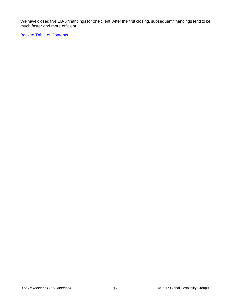We have closed five EB-5 financings for one client! After the first closing, subsequent financings tend to be much faster and more efficient.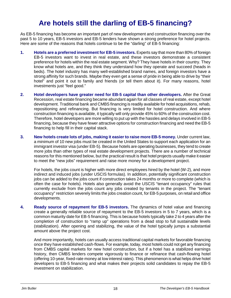### **Are hotels still the darling of EB-5 financing?**

<span id="page-20-0"></span>As EB-5 financing has become an important part of new development and construction financing over the past 5 to 10 years, EB-5 investors and EB-5 lenders have shown a strong preference for hotel projects. Here are some of the reasons that hotels continue to be the "darling" of EB-5 financing:

- **1. Hotels are a preferred investment for EB-5 investors.** Experts say that more than 80% of foreign EB-5 investors want to invest in real estate, and these investors demonstrate a consistent preference for hotels within the real estate segment. Why? They have hotels in their country. They know what hotels are, and they think they understand how they operate and succeed (heads in beds). The hotel industry has many well-established brand names, and foreign investors have a strong affinity for such brands. Maybe they even get a sense of pride in being able to drive by "their hotel" and point it out to family and friends (or tell them about it). For many reasons, hotel investments just "feel good."
- **2. Hotel developers have greater need for EB-5 capital than other developers.** After the Great Recession, real estate financing became abundant again for all classes of real estate, except hotel development. Traditional bank and CMBS financing is readily available for hotel acquisitions, rehab, repositioning and refinancing. But financing is very limited for hotel construction. And where construction financing is available, it typically will only provide 45% to 60% of the construction cost. Therefore, hotel developers are more willing to put up with the hassles and delays involved in EB-5 financing, because they have fewer attractive options for construction financing and need the EB-5 financing to help fill in their capital stack.
- **3. New hotels create lots of jobs, making it easier to raise more EB-5 money.** Under current law, a minimum of 10 new jobs must be created in the United States to support each application for an immigrant investor visa (under EB-5). Because hotels are operating businesses, they tend to create more jobs than other types of real estate development projects. There are a number of technical reasons for this mentioned below, but the practical result is that hotel projects usually make it easier to meet the "new jobs" requirement and raise more money for a development project.

For hotels, the jobs count is higher with more direct employees hired by the hotel (W-2), and more indirect and induced jobs (under USCIS formulas). In addition, potentially significant construction jobs can be added to the jobs count if construction takes 24 months or more to complete (which is often the case for hotels). Hotels also generally avoid the USCIS "tenant occupancy" rules that currently exclude from the jobs count any jobs created by tenants in the project. The "tenant occupancy" restriction severely limits the jobs creation count, for EB-5 purposes, on retail and office developments.

**4. Ready source of repayment for EB-5 investors.** The dynamics of hotel value and financing create a generally reliable source of repayment to the EB-5 investors in 5 to 7 years, which is a common maturity date for EB-5 financing. This is because hotels typically take 2 to 4 years after the completion of construction to "ramp up" operations from a dead stop to full sustainable levels (stabilization). After opening and stabilizing, the value of the hotel typically jumps a substantial amount above the project cost.

And more importantly, hotels can usually access traditional capital markets for favorable financing once they have established cash-flows. For example, today, most hotels could not get any financing from CMBS capital markets for new hotel construction, but if a hotel has a stabilized earnings history, then CMBS lenders compete vigorously to finance or refinance that cash-flowing hotel (offering 10-year, fixed-rate money at low interest rates). This phenomenon is what helps drive hotel developers to EB-5 financing and what makes their projects solid candidates to repay the EB-5 investment on stabilization.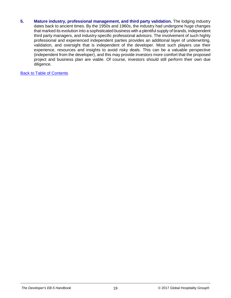**5. Mature industry, professional management, and third party validation.** The lodging industry dates back to ancient times. By the 1950s and 1960s, the industry had undergone huge changes that marked its evolution into a sophisticated business with a plentiful supply of brands, independent third party managers, and industry-specific professional advisors. The involvement of such highly professional and experienced independent parties provides an additional layer of underwriting, validation, and oversight that is independent of the developer. Most such players use their experience, resources and insights to avoid risky deals. This can be a valuable perspective (independent from the developer), and this may provide investors more comfort that the proposed project and business plan are viable. Of course, investors should still perform their own due diligence.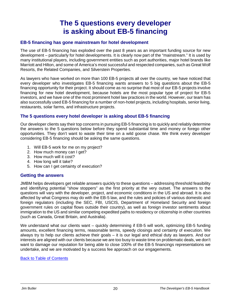### **The 5 questions every developer is asking about EB-5 financing**

#### <span id="page-22-0"></span>**EB-5 financing has gone mainstream for hotel development**

The use of EB-5 financing has exploded over the past 8 years as an important funding source for new development – particularly for hotel developments. It is clearly now part of the "mainstream." It is used by many institutional players, including government entities such as port authorities, major hotel brands like Marriott and Hilton, and some of America's most successful and respected companies, such as Great Wolf Resorts, the Related Companies, and Silverstein Properties.

As lawyers who have worked on more than 100 EB-5 projects all over the country, we have noticed that every developer who investigates EB-5 financing wants answers to 5 big questions about the EB-5 financing opportunity for their project. It should come as no surprise that most of our EB-5 projects involve financing for new hotel development, because hotels are the most popular type of project for EB-5 investors, and we have one of the most prominent hotel law practices in the world. However, our team has also successfully used EB-5 financing for a number of non-hotel projects, including hospitals, senior living, restaurants, solar farms, and infrastructure projects.

#### **The 5 questions every hotel developer is asking about EB-5 financing**

Our developer clients say their top concerns in pursuing EB-5 financing is to quickly and reliably determine the answers to the 5 questions below before they spend substantial time and money or forego other opportunities. They don't want to waste their time on a wild goose chase. We think every developer considering EB-5 financing should be asking the same questions.

- 1. Will EB-5 work for me on my project?
- 2. How much money can I get?
- 3. How much will it cost?
- 4. How long will it take?
- 5. How can I get certainty of execution?

#### **Getting the answers**

JMBM helps developers get reliable answers quickly to these questions – addressing threshold feasibility and identifying potential "show stoppers" as the first priority at the very outset. The answers to the questions will vary with the developer, project, and economic conditions in the US and abroad. It is also affected by what Congress may do with the EB-5 law, and the rules and policies of various domestic and foreign regulators (including the SEC, FBI, USCIS, Department of Homeland Security and foreign government rules on capital flows outside their country), as well as foreign investor sentiments about immigration to the US and similar competing expedited paths to residency or citizenship in other countries (such as Canada, Great Britain, and Australia).

We understand what our clients want – quickly determining if EB-5 will work, optimizing EB-5 funding amounts, excellent financing terms, reasonable terms, speedy closings and certainty of execution. We always try to help our clients achieve their goals – it is our legal and ethical duty as lawyers. And our interests are aligned with our clients because we are too busy to waste time on problematic deals, we don't want to damage our reputation for being able to close 100% of the EB-5 financings representations we undertake, and we are motivated by a success fee approach on our engagements.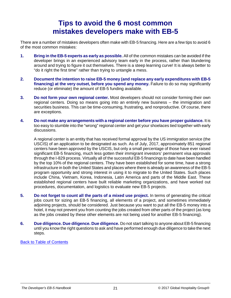### **Tips to avoid the 6 most common mistakes developers make with EB-5**

<span id="page-23-0"></span>There are a number of mistakes developers often make with EB-5 financing. Here are a few tips to avoid 6 of the most common mistakes:

- **1. Bring in the EB-5 experts as early as possible.** All of the common mistakes can be avoided if the developer brings in an experienced advisory team early in the process, rather than blundering around and trying to figure it out themselves. There is a steep learning curve! It is always better to "do it right the first time" rather than trying to untangle a mess.
- **2. Document the intention to raise EB-5 money (and replace any early expenditures with EB-5 financing) at the very outset, before you spend any money.** Failure to do so may significantly reduce (or eliminate) the amount of EB-5 funding available.
- **3. Do not form your own regional center.** Most developers should not consider forming their own regional centers. Doing so means going into an entirely new business – the immigration and securities business. This can be time-consuming, frustrating, and nonproductive. Of course, there are exceptions.
- **4. Do not make any arrangements with a regional center before you have proper guidance.** It is too easy to stumble into the "wrong" regional center and get your shoelaces tied together with early discussions.

A regional center is an entity that has received formal approval by the US immigration service (the USCIS) of an application to be designated as such. As of July, 2017, approximately 851 regional centers have been approved by the USCIS, but only a small percentage of those have ever raised significant EB-5 financing, much less gotten their immigrant investors' permanent visa approvals through the I-829 process. Virtually all of the successful EB-5 financings to date have been handled by the top 10% of the regional centers. They have been established for some time, have a strong infrastructure in both the United States and places where there is already an awareness of the EB-5 program opportunity and strong interest in using it to migrate to the United States. Such places include China, Vietnam, Korea, Indonesia, Latin America and parts of the Middle East. These established regional centers have built reliable marketing organizations, and have worked out procedures, documentation, and logistics to evaluate new EB-5 projects.

- **5. Do not forget to count all the parts of a mixed use project.** In terms of generating the critical jobs count for sizing an EB-5 financing, all elements of a project, and sometimes immediately adjoining projects, should be considered. Just because you want to put all the EB-5 money into a hotel, it may not prevent you from counting the jobs created from other parts of the project (as long as the jobs created by these other elements are not being used for another EB-5 financing).
- **6. Due diligence. Due diligence. Due diligence.** Do not start talking to anyone about EB-5 financing until you know the right questions to ask and have performed enough due diligence to take the next steps.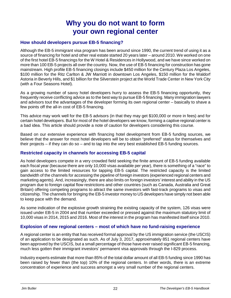### **Why you do not want to form your own regional center**

#### <span id="page-24-0"></span>**How should developers pursue EB-5 financing?**

Although the EB-5 immigrant visa program has been around since 1990, the current trend of using it as a source of financing for hotel and other real estate started 20 years later – around 2010. We worked on one of the first hotel EB-5 financings for the W Hotel & Residences in Hollywood, and we have since worked on more than 100 EB-5 projects all over the country. Now, the use of EB-5 financing for construction has gone mainstream. High profile EB-5 financing closings include \$450 million for the Century Plaza Los Angeles, \$100 million for the Ritz Carlton & JW Marriott in downtown Los Angeles, \$150 million for the Waldorf Astoria in Beverly Hills, and \$1 billion for the Silverstein project at the World Trade Center in New York City (with a Four Seasons Hotel).

As a growing number of savvy hotel developers hurry to assess the EB-5 financing opportunity, they frequently receive conflicting advice as to the best way to pursue EB-5 financing. Many immigration lawyers and advisors tout the advantages of the developer forming its own regional center – basically to shave a few points off the all-in cost of EB-5 financing.

This advice may work well for the EB-5 advisors (in that they may get \$100,000 or more in fees) and for certain hotel developers. But for most of the hotel developers we know, forming a captive regional center is a bad idea. This article should provide a note of caution for developers considering this course.

Based on our extensive experience with financing hotel development from EB-5 funding sources, we believe that the answer for most hotel developers will be to obtain "preferred" status for themselves and their projects – if they can do so – and to tap into the very best established EB-5 funding sources.

#### **Restricted capacity in channels for accessing EB-5 capital**

As hotel developers compete in a very crowded field seeking the finite amount of EB-5 funding available each fiscal year (because there are only 10,000 visas available per year), there is something of a "race" to gain access to the limited resources for tapping EB-5 capital. The restricted capacity is the limited bandwidth of the channels for accessing the pipeline of foreign investors (experienced regional centers and marketing agents). And, increasingly, there are also limits on foreign investors' interest and ability in the US program due to foreign capital flow restrictions and other countries (such as Canada, Australia and Great Britain) offering competing programs to attract the same investors with fast-track programs to visas and citizenship. The channels for bringing the EB-5 investor money to US developers have simply not been able to keep pace with the demand.

As some indication of the explosive growth straining the existing capacity of the system, 126 visas were issued under EB-5 in 2004 and that number exceeded or pressed against the maximum statutory limit of 10,000 visas in 2014, 2015 and 2016. Most of the interest in the program has manifested itself since 2010.

#### **Explosion of new regional centers – most of which have no fund-raising experience**

A regional center is an entity that has received formal approval by the US immigration service (the USCIS) of an application to be designated as such. As of July 3, 2017, approximately 851 regional centers have been approved by the USCIS, but a small percentage of those have ever raised significant EB-5 financing, much less gotten their immigrant investors' permanent visa approvals through the I-829 process.

Industry experts estimate that more than 85% of the total dollar amount of all EB-5 funding since 1990 has been raised by fewer than (the top) 10% of the regional centers. In other words, there is an extreme concentration of experience and success amongst a very small number of the regional centers.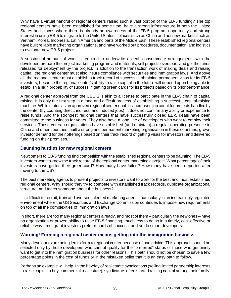Why have a virtual handful of regional centers raised such a vast portion of the EB-5 funding? The top regional centers have been established for some time, have a strong infrastructure in both the United States and places where there is already an awareness of the EB-5 program opportunity and strong interest in using EB-5 to migrate to the United States – places such as China and hot new markets such as Vietnam, Korea, Indonesia, Latin America and parts of the Middle East. These established regional centers have built reliable marketing organizations, and have worked out procedures, documentation, and logistics to evaluate new EB-5 projects.

A substantial amount of work is required to underwrite a deal, consummate arrangements with the developer, prepare the project marketing program and materials, sell projects overseas, and get the funds released for deployment by the project. In addition to the transaction work of making deals and raising capital, the regional center must also insure compliance with securities and immigration laws. And above all, the regional center must establish a track record of success in obtaining permanent visas for its EB-5 investors, because the regional center's ability to raise capital in the future will depend upon being able to establish a high probability of success in getting green cards for its projects based on its prior performance.

A regional center approval from the USCIS is akin to a license to participate in the EB-5 chain of capital raising. It is only the first step in a long and difficult process of establishing a successful capital-raising machine. While status as an approved regional center enables increased job count for projects handled by the center (by counting direct, indirect, and induced jobs), it does not confirm any ability or experience to raise funds. And the strongest regional centers that have successfully closed EB-5 deals have been committed to the business for years. They also have a long line of developers who want to employ their services. These veteran organizations have established (and maintain) a regular operating presence in China and other countries, built a strong and permanent marketing organization in these countries, grown investor demand for their offerings based on their track record of getting visas for investors, and delivered funding on their promises.

#### **Daunting hurdles for new regional centers**

Newcomers to EB-5 funding find competition with the established regional centers to be daunting. The EB-5 investors want to know the track record of the regional center marketing a project. What percentage of their investors have gotten their green card? How many have failed? How many have been deported after moving to the US?

The best marketing agents to present projects to investors want to work for the best and most established regional centers. Why should they try to compete with established track records, duplicate organizational structure, and teach someone about the business?

It is difficult to recruit, train and oversee talented marketing agents, particularly in an increasingly regulated environment where the US Securities and Exchange Commission continues to impose new requirements on top of all the complexities of immigration laws.

In short, there are too many regional centers already, and most of them – particularly the new ones – have no organization or proven ability to raise EB-5 financing, much less to do so in a timely, cost-effective or reliable way. Immigrant investors prefer records of success, and so do smart developers.

#### **Warning! Forming a regional center means getting into the immigration business**

Many developers are being led to form a regional center because of bad advice. This approach should be selected only by those developers who cannot qualify for the "preferred" status or those who genuinely want to get into the immigration business for other reasons. This path should not be chosen to save a few percentage points in the cost of funds or in the mistaken belief that it is an easy path to follow.

Perhaps an example will help. In the heyday of real estate syndications (selling limited partnership interests to raise capital to buy commercial real estate), syndicators often started raising capital among their family,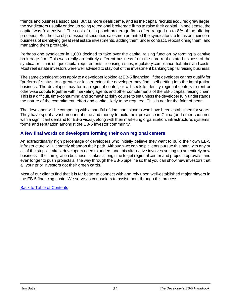friends and business associates. But as more deals came, and as the capital recruits acquired grew larger, the syndicators usually ended up going to regional brokerage firms to raise their capital. In one sense, the capital was "expensive." The cost of using such brokerage firms often ranged up to 8% of the offering proceeds. But the use of professional securities salesmen permitted the syndicators to focus on their core business of identifying great real estate investments, adding them under contract, repositioning them, and managing them profitably.

Perhaps one syndicator in 1,000 decided to take over the capital raising function by forming a captive brokerage firm. This was really an entirely different business from the core real estate business of the syndicator. It has unique capital requirements, licensing issues, regulatory compliance, liabilities and costs. Most real estate investors were well advised to stay out of the investment banking/capital raising business.

The same considerations apply to a developer looking at EB-5 financing. If the developer cannot qualify for "preferred" status, to a greater or lesser extent the developer may find itself getting into the immigration business. The developer may form a regional center, or will seek to identify regional centers to rent or otherwise cobble together with marketing agents and other complements of the EB-5 capital raising chain. This is a difficult, time-consuming and somewhat risky course to set unless the developer fully understands the nature of the commitment, effort and capital likely to be required. This is not for the faint of heart.

The developer will be competing with a handful of dominant players who have been established for years. They have spent a vast amount of time and money to build their presence in China (and other countries with a significant demand for EB-5 visas), along with their marketing organization, infrastructure, systems, forms and reputation amongst the EB-5 investor community.

#### **A few final words on developers forming their own regional centers**

An extraordinarily high percentage of developers who initially believe they want to build their own EB-5 infrastructure will ultimately abandon their path. Although we can help clients pursue this path with any or all of the steps it takes, developers need to understand this alternative involves setting up an entirely new business – the immigration business. It takes a long time to get regional center and project approvals, and even longer to push projects all the way through the EB-5 pipeline so that you can show new investors that all your prior investors got their green cards.

Most of our clients find that it is far better to connect with and rely upon well-established major players in the EB-5 financing chain. We serve as counselors to assist them through this process.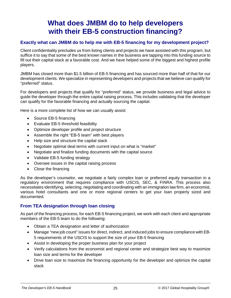### **What does JMBM do to help developers with their EB-5 construction financing?**

#### <span id="page-27-0"></span>**Exactly what can JMBM do to help me with EB-5 financing for my development project?**

Client confidentiality precludes us from listing clients and projects we have assisted with this program, but suffice it to say that some of the best known names in the business are tapping into this funding source to fill out their capital stack at a favorable cost. And we have helped some of the biggest and highest profile players.

JMBM has closed more than \$1.5 billion of EB-5 financing and has sourced more than half of that for our development clients. We specialize in representing developers and projects that we believe can qualify for "preferred" status.

For developers and projects that qualify for "preferred" status, we provide business and legal advice to guide the developer through the entire capital raising process. This includes validating that the developer can qualify for the favorable financing and actually sourcing the capital.

Here is a more complete list of how we can usually assist:

- Source EB-5 financing
- Evaluate EB-5 threshold feasibility
- Optimize developer profile and project structure
- Assemble the right "EB-5 team" with best players
- Help size and structure the capital stack
- Negotiate optimal deal terms with current input on what is "market"
- Negotiate and finalize funding documents with the capital source
- Validate EB-5 funding strategy
- Oversee issues in the capital raising process
- Close the financing

As the developer's counselor, we negotiate a fairly complex loan or preferred equity transaction in a regulatory environment that requires compliance with USCIS, SEC, & FINRA. This process also necessitates identifying, selecting, negotiating and coordinating with an immigration law firm, an economist, various hotel consultants and one or more regional centers to get your loan properly sized and documented.

#### **From TEA designation through loan closing**

As part of the financing process, for each EB-5 financing project, we work with each client and appropriate members of the EB-5 team to do the following:

- Obtain a TEA designation and letter of authorization
- Manage "new job count" issues for direct, indirect, and induced jobs to ensure compliance with EB-5 requirements of the USCIS to support the size of your EB-5 financing
- Assist in developing the proper business plan for your project
- Verify calculations from the economist and regional center and strategize best way to maximize loan size and terms for the developer
- Drive loan size to maximize the financing opportunity for the developer and optimize the capital stack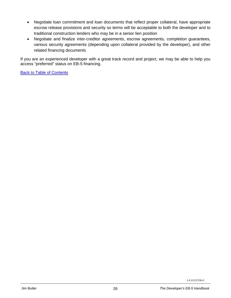- Negotiate loan commitment and loan documents that reflect proper collateral, have appropriate escrow release provisions and security so terms will be acceptable to both the developer and to traditional construction lenders who may be in a senior lien position
- Negotiate and finalize inter-creditor agreements, escrow agreements, completion guarantees, various security agreements (depending upon collateral provided by the developer), and other related financing documents

If you are an experienced developer with a great track record and project, we may be able to help you access "preferred" status on EB-5 financing.

**[Back to Table of Contents](#page-2-13)** 

LA 61222336v2